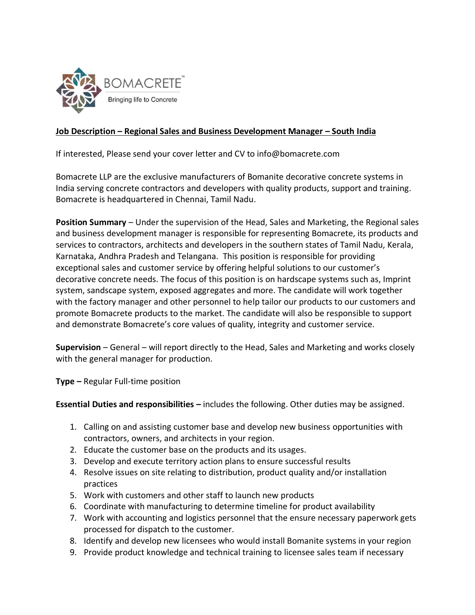

## **Job Description – Regional Sales and Business Development Manager – South India**

If interested, Please send your cover letter and CV to info@bomacrete.com

Bomacrete LLP are the exclusive manufacturers of Bomanite decorative concrete systems in India serving concrete contractors and developers with quality products, support and training. Bomacrete is headquartered in Chennai, Tamil Nadu.

**Position Summary** – Under the supervision of the Head, Sales and Marketing, the Regional sales and business development manager is responsible for representing Bomacrete, its products and services to contractors, architects and developers in the southern states of Tamil Nadu, Kerala, Karnataka, Andhra Pradesh and Telangana. This position is responsible for providing exceptional sales and customer service by offering helpful solutions to our customer's decorative concrete needs. The focus of this position is on hardscape systems such as, Imprint system, sandscape system, exposed aggregates and more. The candidate will work together with the factory manager and other personnel to help tailor our products to our customers and promote Bomacrete products to the market. The candidate will also be responsible to support and demonstrate Bomacrete's core values of quality, integrity and customer service.

**Supervision** – General – will report directly to the Head, Sales and Marketing and works closely with the general manager for production.

**Type –** Regular Full-time position

**Essential Duties and responsibilities –** includes the following. Other duties may be assigned.

- 1. Calling on and assisting customer base and develop new business opportunities with contractors, owners, and architects in your region.
- 2. Educate the customer base on the products and its usages.
- 3. Develop and execute territory action plans to ensure successful results
- 4. Resolve issues on site relating to distribution, product quality and/or installation practices
- 5. Work with customers and other staff to launch new products
- 6. Coordinate with manufacturing to determine timeline for product availability
- 7. Work with accounting and logistics personnel that the ensure necessary paperwork gets processed for dispatch to the customer.
- 8. Identify and develop new licensees who would install Bomanite systems in your region
- 9. Provide product knowledge and technical training to licensee sales team if necessary